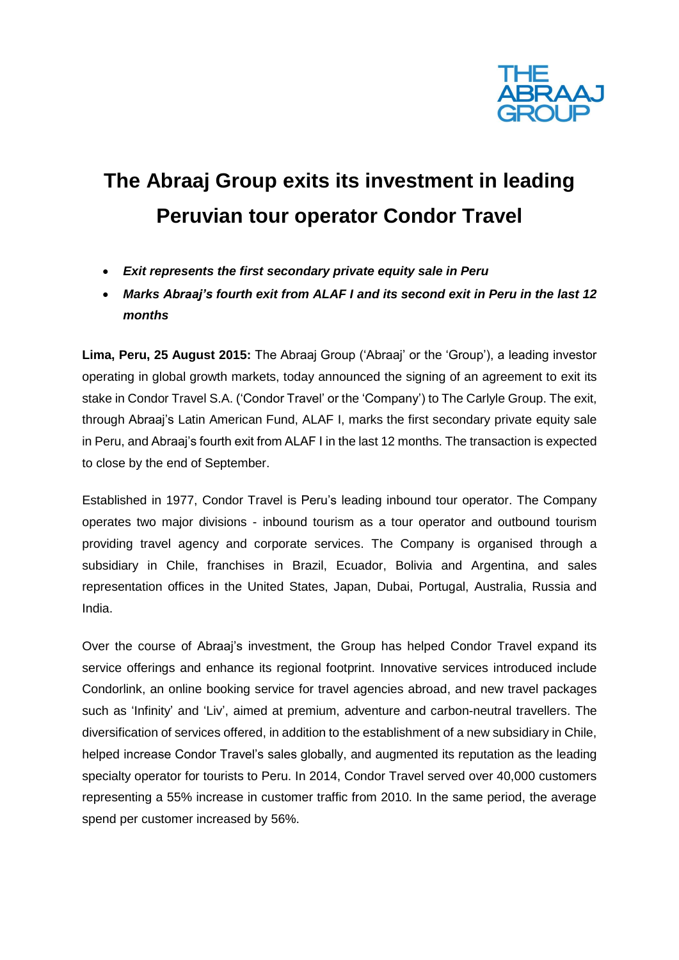

# **The Abraaj Group exits its investment in leading Peruvian tour operator Condor Travel**

- *Exit represents the first secondary private equity sale in Peru*
- *Marks Abraaj's fourth exit from ALAF I and its second exit in Peru in the last 12 months*

**Lima, Peru, 25 August 2015:** The Abraaj Group ('Abraaj' or the 'Group'), a leading investor operating in global growth markets, today announced the signing of an agreement to exit its stake in Condor Travel S.A. ('Condor Travel' or the 'Company') to The Carlyle Group. The exit, through Abraaj's Latin American Fund, ALAF I, marks the first secondary private equity sale in Peru, and Abraaj's fourth exit from ALAF I in the last 12 months. The transaction is expected to close by the end of September.

Established in 1977, Condor Travel is Peru's leading inbound tour operator. The Company operates two major divisions - inbound tourism as a tour operator and outbound tourism providing travel agency and corporate services. The Company is organised through a subsidiary in Chile, franchises in Brazil, Ecuador, Bolivia and Argentina, and sales representation offices in the United States, Japan, Dubai, Portugal, Australia, Russia and India.

Over the course of Abraaj's investment, the Group has helped Condor Travel expand its service offerings and enhance its regional footprint. Innovative services introduced include Condorlink, an online booking service for travel agencies abroad, and new travel packages such as 'Infinity' and 'Liv', aimed at premium, adventure and carbon-neutral travellers. The diversification of services offered, in addition to the establishment of a new subsidiary in Chile, helped increase Condor Travel's sales globally, and augmented its reputation as the leading specialty operator for tourists to Peru. In 2014, Condor Travel served over 40,000 customers representing a 55% increase in customer traffic from 2010. In the same period, the average spend per customer increased by 56%.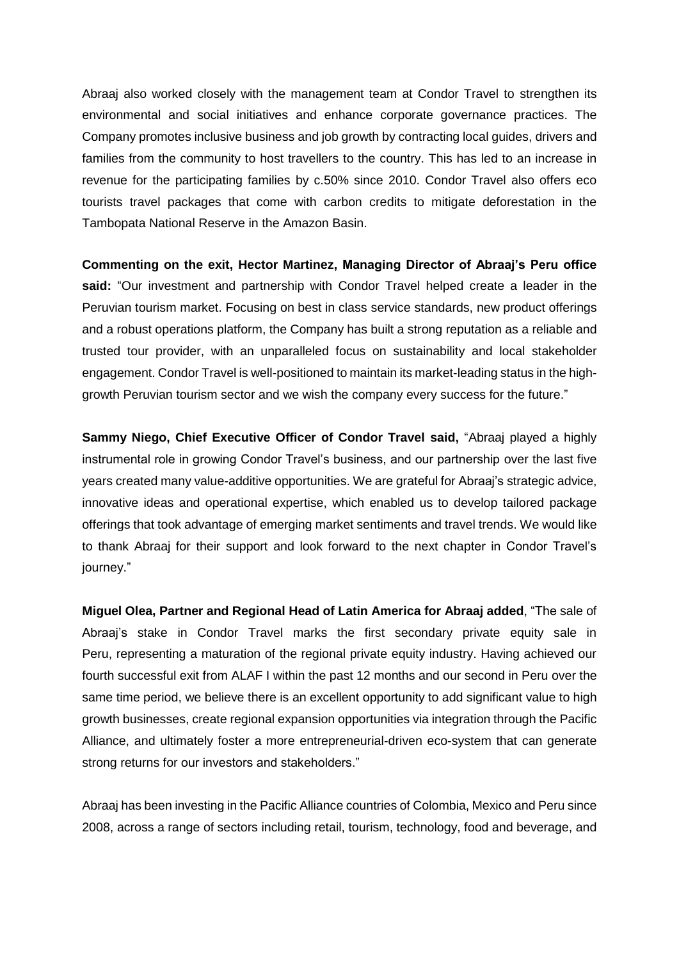Abraaj also worked closely with the management team at Condor Travel to strengthen its environmental and social initiatives and enhance corporate governance practices. The Company promotes inclusive business and job growth by contracting local guides, drivers and families from the community to host travellers to the country. This has led to an increase in revenue for the participating families by c.50% since 2010. Condor Travel also offers eco tourists travel packages that come with carbon credits to mitigate deforestation in the Tambopata National Reserve in the Amazon Basin.

**Commenting on the exit, Hector Martinez, Managing Director of Abraaj's Peru office said:** "Our investment and partnership with Condor Travel helped create a leader in the Peruvian tourism market. Focusing on best in class service standards, new product offerings and a robust operations platform, the Company has built a strong reputation as a reliable and trusted tour provider, with an unparalleled focus on sustainability and local stakeholder engagement. Condor Travel is well-positioned to maintain its market-leading status in the highgrowth Peruvian tourism sector and we wish the company every success for the future."

**Sammy Niego, Chief Executive Officer of Condor Travel said, "Abraaj played a highly** instrumental role in growing Condor Travel's business, and our partnership over the last five years created many value-additive opportunities. We are grateful for Abraaj's strategic advice, innovative ideas and operational expertise, which enabled us to develop tailored package offerings that took advantage of emerging market sentiments and travel trends. We would like to thank Abraaj for their support and look forward to the next chapter in Condor Travel's journey."

**Miguel Olea, Partner and Regional Head of Latin America for Abraaj added**, "The sale of Abraaj's stake in Condor Travel marks the first secondary private equity sale in Peru, representing a maturation of the regional private equity industry. Having achieved our fourth successful exit from ALAF I within the past 12 months and our second in Peru over the same time period, we believe there is an excellent opportunity to add significant value to high growth businesses, create regional expansion opportunities via integration through the Pacific Alliance, and ultimately foster a more entrepreneurial-driven eco-system that can generate strong returns for our investors and stakeholders."

Abraaj has been investing in the Pacific Alliance countries of Colombia, Mexico and Peru since 2008, across a range of sectors including retail, tourism, technology, food and beverage, and